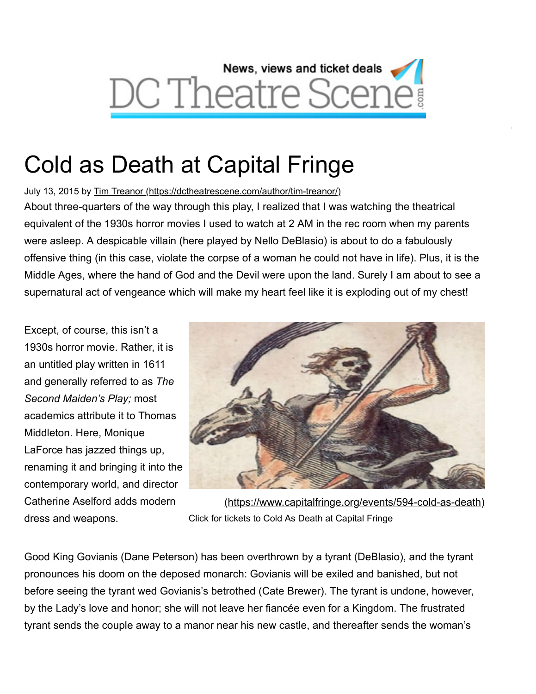

# Cold as Death at Capital Fringe

July 13, 2015 by [Tim Treanor \(https://dctheatrescene.com/author/tim-treanor/\)](https://dctheatrescene.com/author/tim-treanor/)

About three-quarters of the way through this play, I realized that I was watching the theatrical equivalent of the 1930s horror movies I used to watch at 2 AM in the rec room when my parents were asleep. A despicable villain (here played by Nello DeBlasio) is about to do a fabulously offensive thing (in this case, violate the corpse of a woman he could not have in life). Plus, it is the Middle Ages, where the hand of God and the Devil were upon the land. Surely I am about to see a supernatural act of vengeance which will make my heart feel like it is exploding out of my chest!

Except, of course, this isn't a 1930s horror movie. Rather, it is an untitled play written in 1611 and generally referred to as *The Second Maiden's Play;* most academics attribute it to Thomas Middleton. Here, Monique LaForce has jazzed things up, renaming it and bringing it into the contemporary world, and director Catherine Aselford adds modern dress and weapons.



W

[\(https://www.capitalfringe.org/events/594-cold-as-death\)](https://www.capitalfringe.org/events/594-cold-as-death) Click for tickets to Cold As Death at Capital Fringe

Good King Govianis (Dane Peterson) has been overthrown by a tyrant (DeBlasio), and the tyrant pronounces his doom on the deposed monarch: Govianis will be exiled and banished, but not before seeing the tyrant wed Govianis's betrothed (Cate Brewer). The tyrant is undone, however, by the Lady's love and honor; she will not leave her fiancée even for a Kingdom. The frustrated tyrant sends the couple away to a manor near his new castle, and thereafter sends the woman's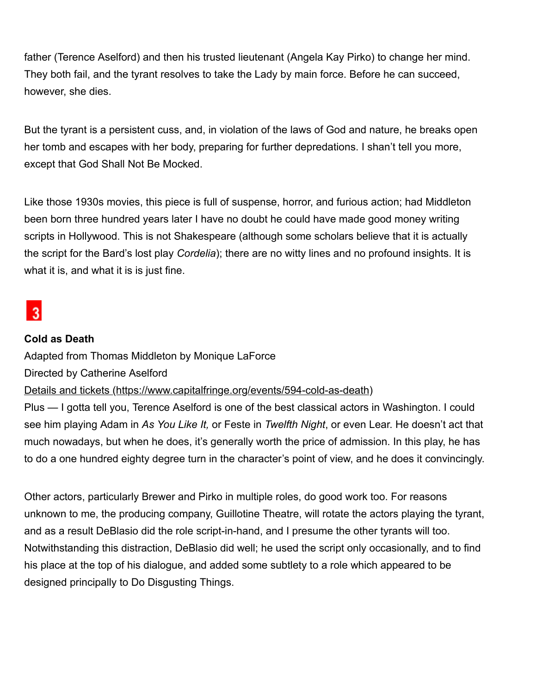father (Terence Aselford) and then his trusted lieutenant (Angela Kay Pirko) to change her mind. They both fail, and the tyrant resolves to take the Lady by main force. Before he can succeed, however, she dies.

But the tyrant is a persistent cuss, and, in violation of the laws of God and nature, he breaks open her tomb and escapes with her body, preparing for further depredations. I shan't tell you more, except that God Shall Not Be Mocked.

Like those 1930s movies, this piece is full of suspense, horror, and furious action; had Middleton been born three hundred years later I have no doubt he could have made good money writing scripts in Hollywood. This is not Shakespeare (although some scholars believe that it is actually the script for the Bard's lost play *Cordelia*); there are no witty lines and no profound insights. It is what it is, and what it is is just fine.

# $\overline{3}$

#### **Cold as Death**

Adapted from Thomas Middleton by Monique LaForce

Directed by Catherine Aselford

[Details and tickets \(https://www.capitalfringe.org/events/594-cold-as-death\)](https://www.capitalfringe.org/events/594-cold-as-death)

Plus — I gotta tell you, Terence Aselford is one of the best classical actors in Washington. I could see him playing Adam in *As You Like It,* or Feste in *Twelfth Night*, or even Lear. He doesn't act that much nowadays, but when he does, it's generally worth the price of admission. In this play, he has to do a one hundred eighty degree turn in the character's point of view, and he does it convincingly.

Other actors, particularly Brewer and Pirko in multiple roles, do good work too. For reasons unknown to me, the producing company, Guillotine Theatre, will rotate the actors playing the tyrant, and as a result DeBlasio did the role script-in-hand, and I presume the other tyrants will too. Notwithstanding this distraction, DeBlasio did well; he used the script only occasionally, and to find his place at the top of his dialogue, and added some subtlety to a role which appeared to be designed principally to Do Disgusting Things.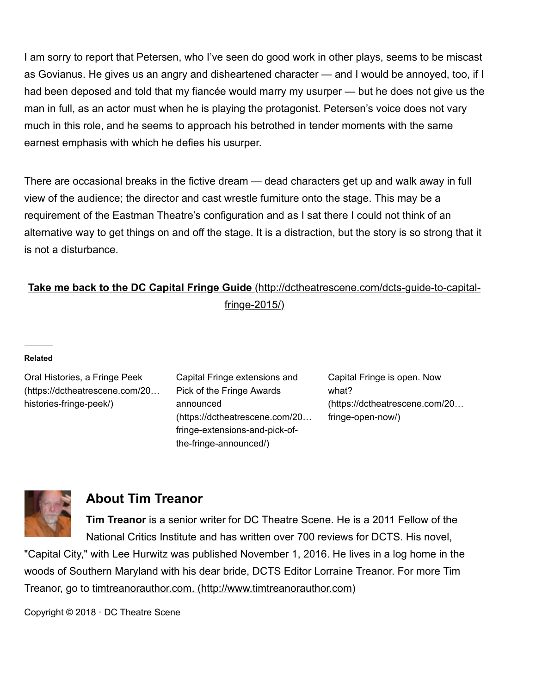I am sorry to report that Petersen, who I've seen do good work in other plays, seems to be miscast as Govianus. He gives us an angry and disheartened character — and I would be annoyed, too, if I had been deposed and told that my fiancée would marry my usurper — but he does not give us the man in full, as an actor must when he is playing the protagonist. Petersen's voice does not vary much in this role, and he seems to approach his betrothed in tender moments with the same earnest emphasis with which he defies his usurper.

There are occasional breaks in the fictive dream — dead characters get up and walk away in full view of the audience; the director and cast wrestle furniture onto the stage. This may be a requirement of the Eastman Theatre's configuration and as I sat there I could not think of an alternative way to get things on and off the stage. It is a distraction, but the story is so strong that it is not a disturbance.

## **Take me back to the DC Capital Fringe Guide** [\(http://dctheatrescene.com/dcts-guide-to-capital](http://dctheatrescene.com/dcts-guide-to-capital-fringe-2015/)fringe-2015/)

#### **Related**

Oral Histories, a Fringe Peek [\(https://dctheatrescene.com/20…](https://dctheatrescene.com/2016/07/05/oral-histories-fringe-peek/) histories-fringe-peek/)

Capital Fringe extensions and Pick of the Fringe Awards announced [\(https://dctheatrescene.com/20…](https://dctheatrescene.com/2015/07/26/capital-fringe-extensions-and-pick-of-the-fringe-announced/) fringe-extensions-and-pick-ofthe-fringe-announced/)

Capital Fringe is open. Now what? [\(https://dctheatrescene.com/20…](https://dctheatrescene.com/2016/07/07/capital-fringe-open-now/) fringe-open-now/)



### **About Tim Treanor**

**Tim Treanor** is a senior writer for DC Theatre Scene. He is a 2011 Fellow of the National Critics Institute and has written over 700 reviews for DCTS. His novel,

"Capital City," with Lee Hurwitz was published November 1, 2016. He lives in a log home in the woods of Southern Maryland with his dear bride, DCTS Editor Lorraine Treanor. For more Tim Treanor, go to [timtreanorauthor.com. \(http://www.timtreanorauthor.com\)](http://www.timtreanorauthor.com/)

Copyright © 2018 · DC Theatre Scene